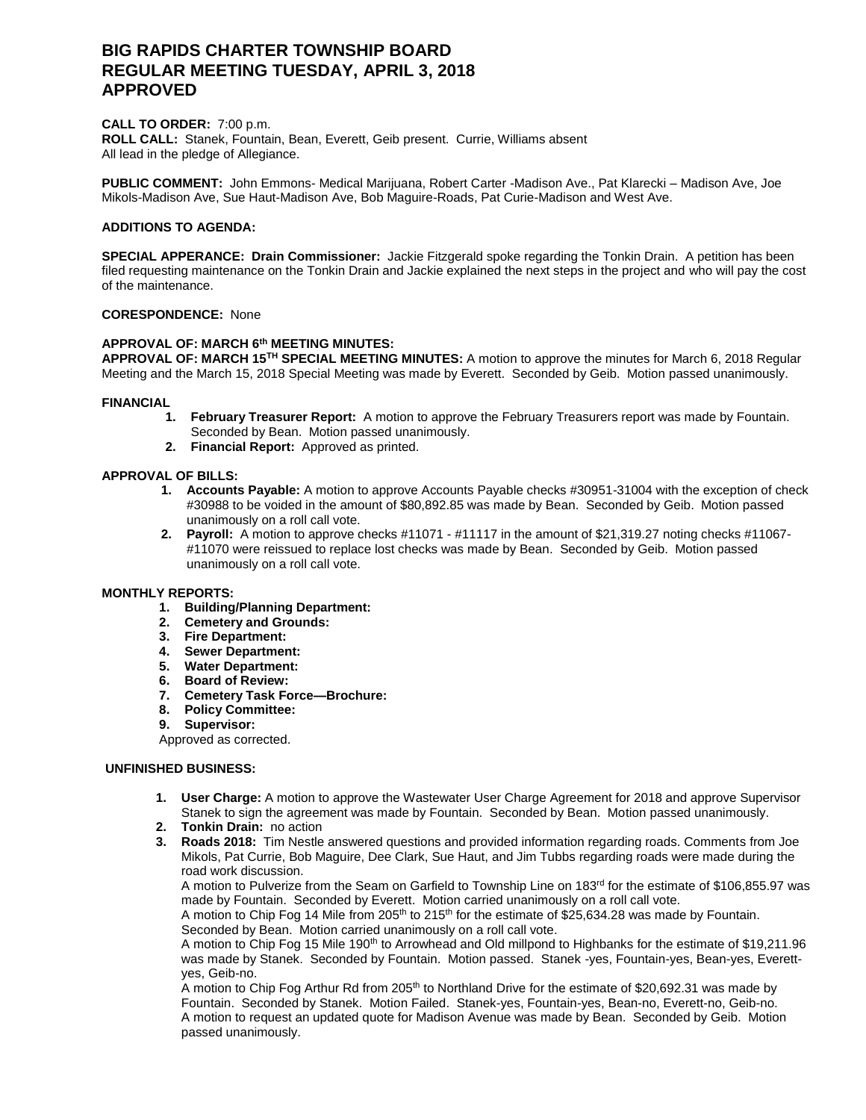# **BIG RAPIDS CHARTER TOWNSHIP BOARD REGULAR MEETING TUESDAY, APRIL 3, 2018 APPROVED**

## **CALL TO ORDER:** 7:00 p.m.

**ROLL CALL:** Stanek, Fountain, Bean, Everett, Geib present. Currie, Williams absent All lead in the pledge of Allegiance.

**PUBLIC COMMENT:** John Emmons- Medical Marijuana, Robert Carter -Madison Ave., Pat Klarecki – Madison Ave, Joe Mikols-Madison Ave, Sue Haut-Madison Ave, Bob Maguire-Roads, Pat Curie-Madison and West Ave.

# **ADDITIONS TO AGENDA:**

**SPECIAL APPERANCE: Drain Commissioner:** Jackie Fitzgerald spoke regarding the Tonkin Drain. A petition has been filed requesting maintenance on the Tonkin Drain and Jackie explained the next steps in the project and who will pay the cost of the maintenance.

# **CORESPONDENCE:** None

## **APPROVAL OF: MARCH 6th MEETING MINUTES:**

**APPROVAL OF: MARCH 15TH SPECIAL MEETING MINUTES:** A motion to approve the minutes for March 6, 2018 Regular Meeting and the March 15, 2018 Special Meeting was made by Everett. Seconded by Geib. Motion passed unanimously.

#### **FINANCIAL**

- **1. February Treasurer Report:** A motion to approve the February Treasurers report was made by Fountain. Seconded by Bean. Motion passed unanimously.
- **2. Financial Report:** Approved as printed.

#### **APPROVAL OF BILLS:**

- **1. Accounts Payable:** A motion to approve Accounts Payable checks #30951-31004 with the exception of check #30988 to be voided in the amount of \$80,892.85 was made by Bean. Seconded by Geib. Motion passed unanimously on a roll call vote.
- **2. Payroll:** A motion to approve checks #11071 #11117 in the amount of \$21,319.27 noting checks #11067- #11070 were reissued to replace lost checks was made by Bean. Seconded by Geib. Motion passed unanimously on a roll call vote.

## **MONTHLY REPORTS:**

- **1. Building/Planning Department:**
- **2. Cemetery and Grounds:**
- **3. Fire Department:**
- **4. Sewer Department:**
- **5. Water Department:**
- **6. Board of Review:**
- **7. Cemetery Task Force—Brochure:**
- **8. Policy Committee:**
- **9. Supervisor:**

Approved as corrected.

## **UNFINISHED BUSINESS:**

- **1. User Charge:** A motion to approve the Wastewater User Charge Agreement for 2018 and approve Supervisor Stanek to sign the agreement was made by Fountain. Seconded by Bean. Motion passed unanimously.
- **2. Tonkin Drain:** no action
- **3. Roads 2018:** Tim Nestle answered questions and provided information regarding roads. Comments from Joe Mikols, Pat Currie, Bob Maguire, Dee Clark, Sue Haut, and Jim Tubbs regarding roads were made during the road work discussion.

A motion to Pulverize from the Seam on Garfield to Township Line on 183<sup>rd</sup> for the estimate of \$106,855.97 was made by Fountain. Seconded by Everett. Motion carried unanimously on a roll call vote.

A motion to Chip Fog 14 Mile from  $205<sup>th</sup>$  to 215<sup>th</sup> for the estimate of \$25,634.28 was made by Fountain. Seconded by Bean. Motion carried unanimously on a roll call vote.

A motion to Chip Fog 15 Mile 190<sup>th</sup> to Arrowhead and Old millpond to Highbanks for the estimate of \$19,211.96 was made by Stanek. Seconded by Fountain. Motion passed. Stanek -yes, Fountain-yes, Bean-yes, Everettyes, Geib-no.

A motion to Chip Fog Arthur Rd from 205<sup>th</sup> to Northland Drive for the estimate of \$20,692.31 was made by Fountain. Seconded by Stanek. Motion Failed. Stanek-yes, Fountain-yes, Bean-no, Everett-no, Geib-no. A motion to request an updated quote for Madison Avenue was made by Bean. Seconded by Geib. Motion passed unanimously.